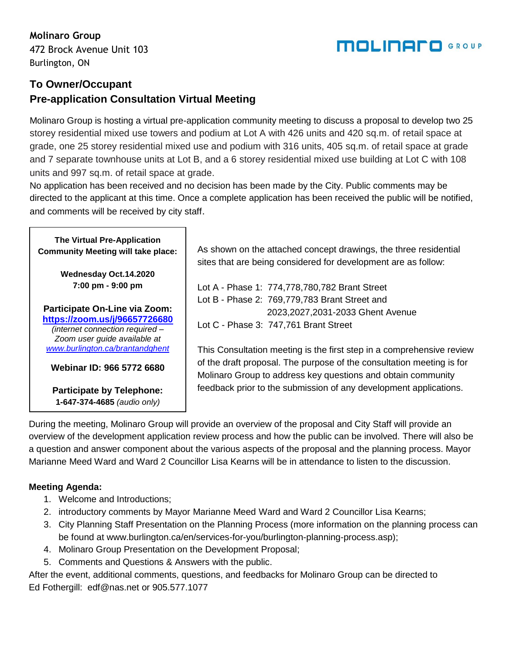### **Molinaro Group**

472 Brock Avenue Unit 103 Burlington, ON

### **To Owner/Occupant Pre-application Consultation Virtual Meeting**

Molinaro Group is hosting a virtual pre-application community meeting to discuss a proposal to develop two 25 storey residential mixed use towers and podium at Lot A with 426 units and 420 sq.m. of retail space at grade, one 25 storey residential mixed use and podium with 316 units, 405 sq.m. of retail space at grade and 7 separate townhouse units at Lot B, and a 6 storey residential mixed use building at Lot C with 108 units and 997 sq.m. of retail space at grade.

No application has been received and no decision has been made by the City. Public comments may be directed to the applicant at this time. Once a complete application has been received the public will be notified, and comments will be received by city staff.

| <b>The Virtual Pre-Application</b><br><b>Community Meeting will take place:</b>                  | As shown on the attached concept drawings, the three residential<br>sites that are being considered for development are as follow:    |
|--------------------------------------------------------------------------------------------------|---------------------------------------------------------------------------------------------------------------------------------------|
| Wednesday Oct.14.2020                                                                            |                                                                                                                                       |
| 7:00 pm - 9:00 pm                                                                                | Lot A - Phase 1: 774,778,780,782 Brant Street                                                                                         |
|                                                                                                  | Lot B - Phase 2: 769,779,783 Brant Street and                                                                                         |
| Participate On-Line via Zoom:                                                                    | 2023, 2027, 2031-2033 Ghent Avenue                                                                                                    |
| https://zoom.us/j/96657726680<br>(internet connection required -<br>Zoom user guide available at | Lot C - Phase 3: 747,761 Brant Street                                                                                                 |
| www.burlington.ca/brantandghent                                                                  | This Consultation meeting is the first step in a comprehensive review                                                                 |
| Webinar ID: 966 5772 6680                                                                        | of the draft proposal. The purpose of the consultation meeting is for<br>Molinaro Group to address key questions and obtain community |
| <b>Participate by Telephone:</b><br>1-647-374-4685 (audio only)                                  | feedback prior to the submission of any development applications.                                                                     |

During the meeting, Molinaro Group will provide an overview of the proposal and City Staff will provide an overview of the development application review process and how the public can be involved. There will also be a question and answer component about the various aspects of the proposal and the planning process. Mayor Marianne Meed Ward and Ward 2 Councillor Lisa Kearns will be in attendance to listen to the discussion.

#### **Meeting Agenda:**

- 1. Welcome and Introductions;
- 2. introductory comments by Mayor Marianne Meed Ward and Ward 2 Councillor Lisa Kearns;
- 3. City Planning Staff Presentation on the Planning Process (more information on the planning process can be found at www.burlington.ca/en/services-for-you/burlington-planning-process.asp);
- 4. Molinaro Group Presentation on the Development Proposal;
- 5. Comments and Questions & Answers with the public.

After the event, additional comments, questions, and feedbacks for Molinaro Group can be directed to Ed Fothergill: edf@nas.net or 905.577.1077

# **MOLINAFO** GROUP